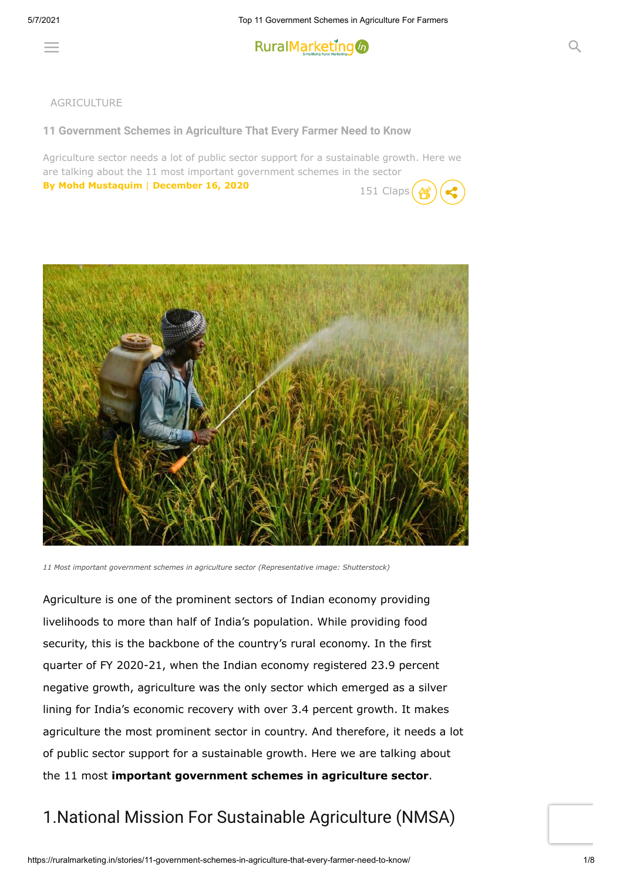

#### AGRICULTURE

**[11 Government Schemes in Agriculture That Every Farmer Need to Know](https://ruralmarketing.in/stories/11-government-schemes-in-agriculture-that-every-farmer-need-to-know/)**

Agriculture sector needs a lot of public sector support for a sustainable growth. Here we are talking about the 11 most important government schemes in the sector **[By Mohd Mustaquim](https://ruralmarketing.in/author/mohd-mustaquim/) | December 16, 2020** 151 Claps





*11 Most important government schemes in agriculture sector (Representative image: Shutterstock)*

Agriculture is one of the prominent sectors of Indian economy providing livelihoods to more than half of India's population. While providing food security, this is the backbone of the country's rural economy. In the first quarter of FY 2020-21, when the Indian economy registered 23.9 percent negative growth, agriculture was the only sector which emerged as a silver lining for India's economic recovery with over 3.4 percent growth. It makes agriculture the most prominent sector in country. And therefore, it needs a lot of public sector support for a sustainable growth. Here we are talking about the 11 most **important government schemes in agriculture sector**.

#### 1.National Mission For Sustainable Agriculture (NMSA)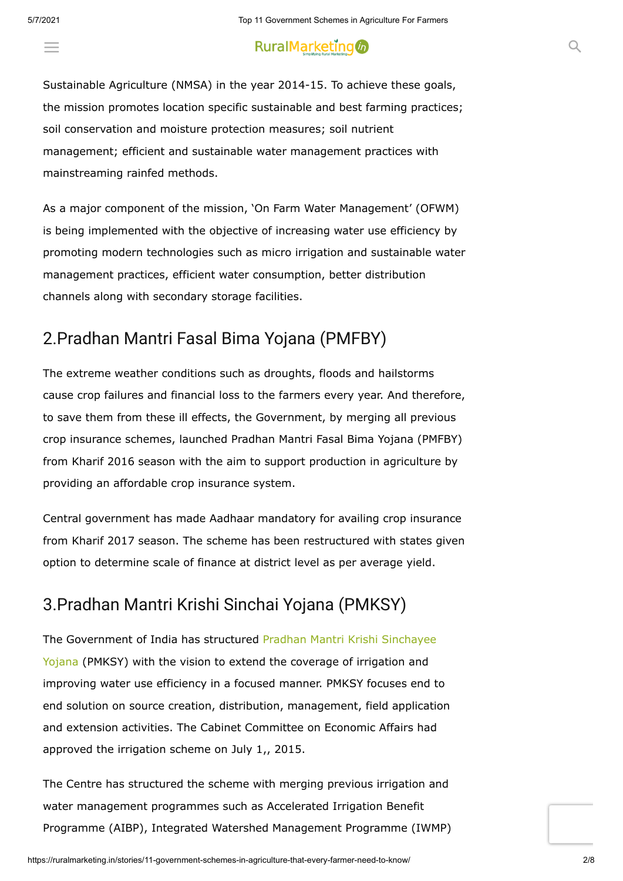## $\equiv$  and the matrix of the matrix  $\sim$  contractive and  $\sim$  contractive and  $\sim$

Sustainable Agriculture (NMSA) in the year 2014-15. To achieve these goals, the mission promotes location specific sustainable and best farming practices; soil conservation and moisture protection measures; soil nutrient management; efficient and sustainable water management practices with mainstreaming rainfed methods.

As a major component of the mission, 'On Farm Water Management' (OFWM) is being implemented with the objective of increasing water use efficiency by promoting modern technologies such as micro irrigation and sustainable water management practices, efficient water consumption, better distribution channels along with secondary storage facilities.

#### 2.Pradhan Mantri Fasal Bima Yojana (PMFBY)

The extreme weather conditions such as droughts, floods and hailstorms cause crop failures and financial loss to the farmers every year. And therefore, to save them from these ill effects, the Government, by merging all previous crop insurance schemes, launched Pradhan Mantri Fasal Bima Yojana (PMFBY) from Kharif 2016 season with the aim to support production in agriculture by providing an affordable crop insurance system.

Central government has made Aadhaar mandatory for availing crop insurance from Kharif 2017 season. The scheme has been restructured with states given option to determine scale of finance at district level as per average yield.

#### 3.Pradhan Mantri Krishi Sinchai Yojana (PMKSY)

The Government of India has structured Pradhan Mantri Krishi Sinchayee [Yojana \(PMKSY\) with the vision to extend the coverage of irrigation and](https://ruralmarketing.in/stories/government-approves-pradhan-mantri-krishi-sinchayee-yojana/) improving water use efficiency in a focused manner. PMKSY focuses end to end solution on source creation, distribution, management, field application and extension activities. The Cabinet Committee on Economic Affairs had approved the irrigation scheme on July 1,, 2015.

The Centre has structured the scheme with merging previous irrigation and water management programmes such as Accelerated Irrigation Benefit Programme (AIBP), Integrated Watershed Management Programme (IWMP)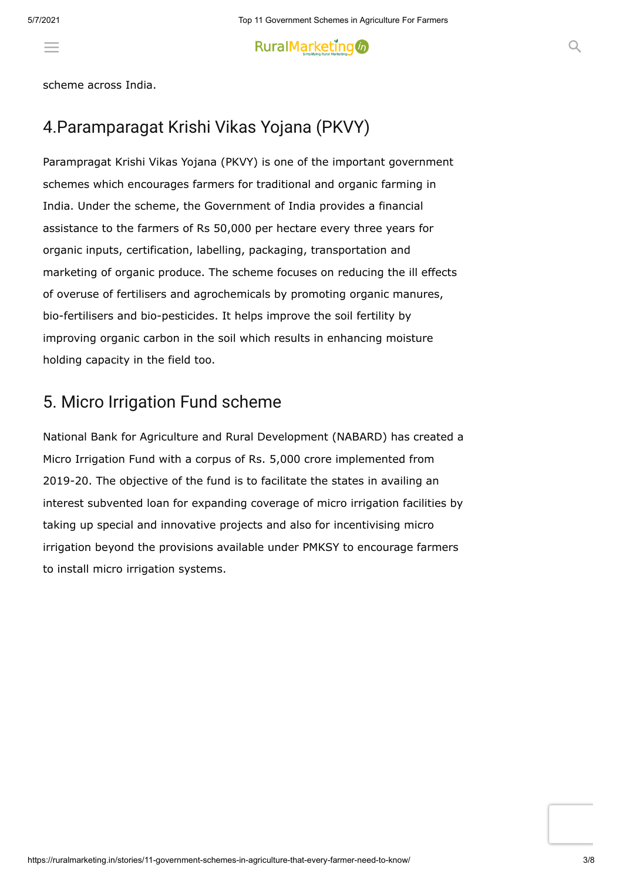### and On Farm Water Management (OFWM) scheme. The Centre has approved

scheme across India.

### 4.Paramparagat Krishi Vikas Yojana (PKVY)

Parampragat Krishi Vikas Yojana (PKVY) is one of the important government schemes which encourages farmers for traditional and organic farming in India. Under the scheme, the Government of India provides a financial assistance to the farmers of Rs 50,000 per hectare every three years for organic inputs, certification, labelling, packaging, transportation and marketing of organic produce. The scheme focuses on reducing the ill effects of overuse of fertilisers and agrochemicals by promoting organic manures, bio-fertilisers and bio-pesticides. It helps improve the soil fertility by improving organic carbon in the soil which results in enhancing moisture holding capacity in the field too.

#### 5. Micro Irrigation Fund scheme

National Bank for Agriculture and Rural Development (NABARD) has created a Micro Irrigation Fund with a corpus of Rs. 5,000 crore implemented from 2019-20. The objective of the fund is to facilitate the states in availing an interest subvented loan for expanding coverage of micro irrigation facilities by taking up special and innovative projects and also for incentivising micro irrigation beyond the provisions available under PMKSY to encourage farmers to install micro irrigation systems.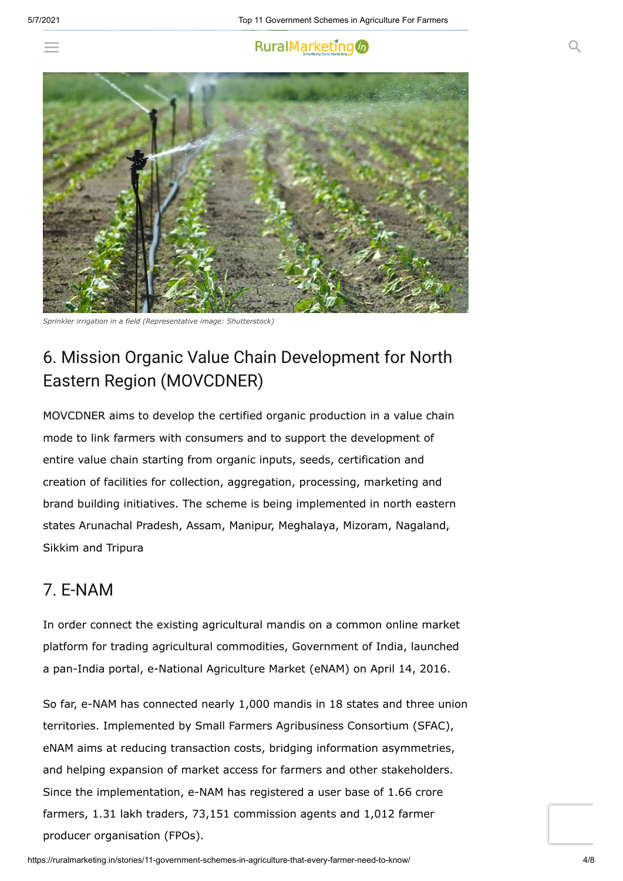



*Sprinkler irrigation in a field (Representative image: Shutterstock)*

## 6. Mission Organic Value Chain Development for North Eastern Region (MOVCDNER)

MOVCDNER aims to develop the certified organic production in a value chain mode to link farmers with consumers and to support the development of entire value chain starting from organic inputs, seeds, certification and creation of facilities for collection, aggregation, processing, marketing and brand building initiatives. The scheme is being implemented in north eastern states Arunachal Pradesh, Assam, Manipur, Meghalaya, Mizoram, Nagaland, Sikkim and Tripura

#### 7. E-NAM

In order connect the existing agricultural mandis on a common online market platform for trading agricultural commodities, Government of India, launched a pan-India portal, e-National Agriculture Market (eNAM) on April 14, 2016.

So far, e-NAM has connected nearly 1,000 mandis in 18 states and three union territories. Implemented by Small Farmers Agribusiness Consortium (SFAC), eNAM aims at reducing transaction costs, bridging information asymmetries, and helping expansion of market access for farmers and other stakeholders. Since the implementation, e-NAM has registered a user base of 1.66 crore farmers, 1.31 lakh traders, 73,151 commission agents and 1,012 farmer producer organisation (FPOs).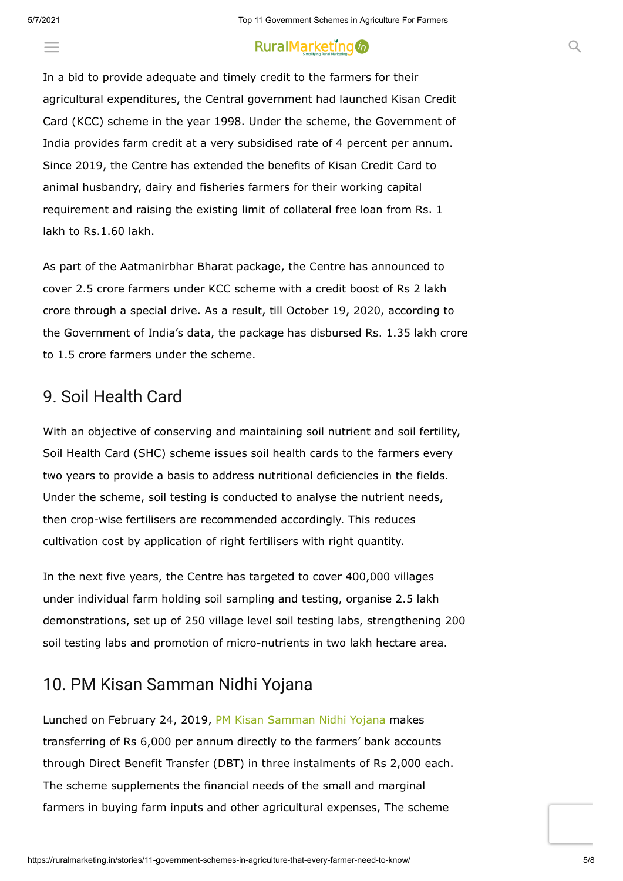#### RuralMarketing to the contract of the contract of the contract of the contract of the contract of the contract of the contract of the contract of the contract of the contract of the contract of the contract of the contract

In a bid to provide adequate and timely credit to the farmers for their agricultural expenditures, the Central government had launched Kisan Credit Card (KCC) scheme in the year 1998. Under the scheme, the Government of India provides farm credit at a very subsidised rate of 4 percent per annum. Since 2019, the Centre has extended the benefits of Kisan Credit Card to animal husbandry, dairy and fisheries farmers for their working capital requirement and raising the existing limit of collateral free loan from Rs. 1 lakh to Rs.1.60 lakh.

As part of the Aatmanirbhar Bharat package, the Centre has announced to cover 2.5 crore farmers under KCC scheme with a credit boost of Rs 2 lakh crore through a special drive. As a result, till October 19, 2020, according to the Government of India's data, the package has disbursed Rs. 1.35 lakh crore to 1.5 crore farmers under the scheme.

#### 9. Soil Health Card

 $\equiv$   $\sim$  Kisan Credit Card (KCC)

With an objective of conserving and maintaining soil nutrient and soil fertility, Soil Health Card (SHC) scheme issues soil health cards to the farmers every two years to provide a basis to address nutritional deficiencies in the fields. Under the scheme, soil testing is conducted to analyse the nutrient needs, then crop-wise fertilisers are recommended accordingly. This reduces cultivation cost by application of right fertilisers with right quantity.

In the next five years, the Centre has targeted to cover 400,000 villages under individual farm holding soil sampling and testing, organise 2.5 lakh demonstrations, set up of 250 village level soil testing labs, strengthening 200 soil testing labs and promotion of micro-nutrients in two lakh hectare area.

#### 10. PM Kisan Samman Nidhi Yojana

Lunched on February 24, 2019, [PM Kisan Samman Nidhi Yojana](https://ruralmarketing.in/stories/all-you-need-to-know-about-pm-kisan-samman-nidhi-yojana/) makes transferring of Rs 6,000 per annum directly to the farmers' bank accounts through Direct Benefit Transfer (DBT) in three instalments of Rs 2,000 each. The scheme supplements the financial needs of the small and marginal farmers in buying farm inputs and other agricultural expenses, The scheme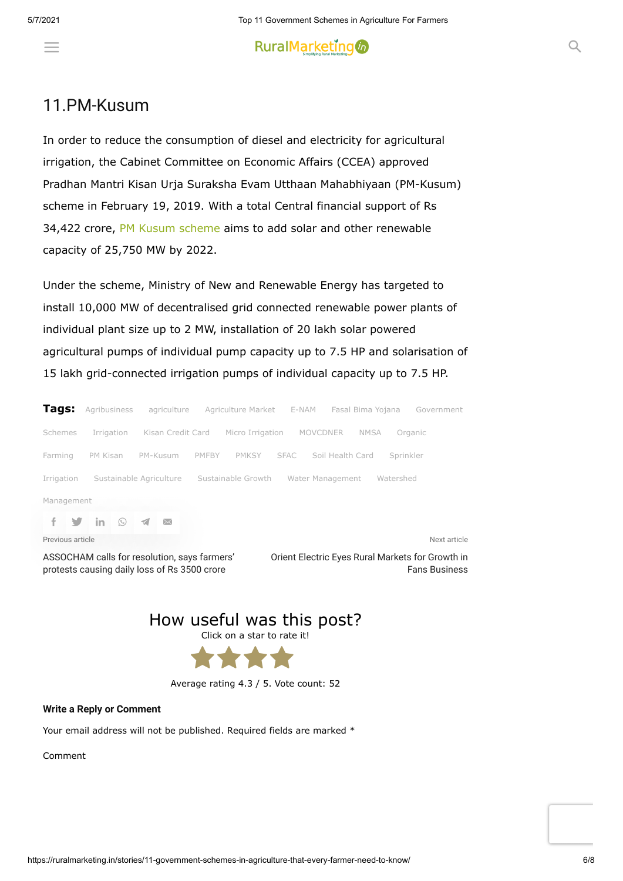### $\equiv$  and the farmers from farmers from farmers from  $\infty$

#### 11.PM-Kusum

In order to reduce the consumption of diesel and electricity for agricultural irrigation, the Cabinet Committee on Economic Affairs (CCEA) approved Pradhan Mantri Kisan Urja Suraksha Evam Utthaan Mahabhiyaan (PM-Kusum) scheme in February 19, 2019. With a total Central financial support of Rs 34,422 crore, [PM Kusum scheme](https://ruralmarketing.in/stories/energy-conservation-everything-you-need-to-know-about-pm-kusum-scheme/) aims to add solar and other renewable capacity of 25,750 MW by 2022.

Under the scheme, Ministry of New and Renewable Energy has targeted to install 10,000 MW of decentralised grid connected renewable power plants of individual plant size up to 2 MW, installation of 20 lakh solar powered agricultural pumps of individual pump capacity up to 7.5 HP and solarisation of 15 lakh grid-connected irrigation pumps of individual capacity up to 7.5 HP.

| Tags:            | Agribusiness     | agriculture             | Agriculture Market E-NAM |                  | Fasal Bima Yojana | Government   |  |  |  |  |
|------------------|------------------|-------------------------|--------------------------|------------------|-------------------|--------------|--|--|--|--|
| Schemes          | Irrigation       | Kisan Credit Card       | Micro Irrigation         | MOVCDNER         | NMSA              | Organic      |  |  |  |  |
| Farming          | PM Kisan         | PM-Kusum                | <b>PMKSY</b><br>PMFBY    | <b>SFAC</b>      | Soil Health Card  | Sprinkler    |  |  |  |  |
| Irrigation       |                  | Sustainable Agriculture | Sustainable Growth       | Water Management |                   | Watershed    |  |  |  |  |
| Management       |                  |                         |                          |                  |                   |              |  |  |  |  |
|                  | -in<br>$(\zeta)$ | $\bowtie$               |                          |                  |                   |              |  |  |  |  |
| Previous article |                  |                         |                          |                  |                   | Next article |  |  |  |  |

[ASSOCHAM calls for resolution, says farmers'](https://ruralmarketing.in/stories/assocham-calls-for-resolution-says-farmers-protests-causing-daily-loss-of-rs-3500-crore/) protests causing daily loss of Rs 3500 crore

[Orient Electric Eyes Rural Markets for Growth in](https://ruralmarketing.in/stories/orient-electric-eyes-rural-markets-for-growth-in-fans-business/) Fans Business





Average rating 4.3 / 5. Vote count: 52

#### **Write a Reply or Comment**

Your email address will not be published. Required fields are marked \*

Comment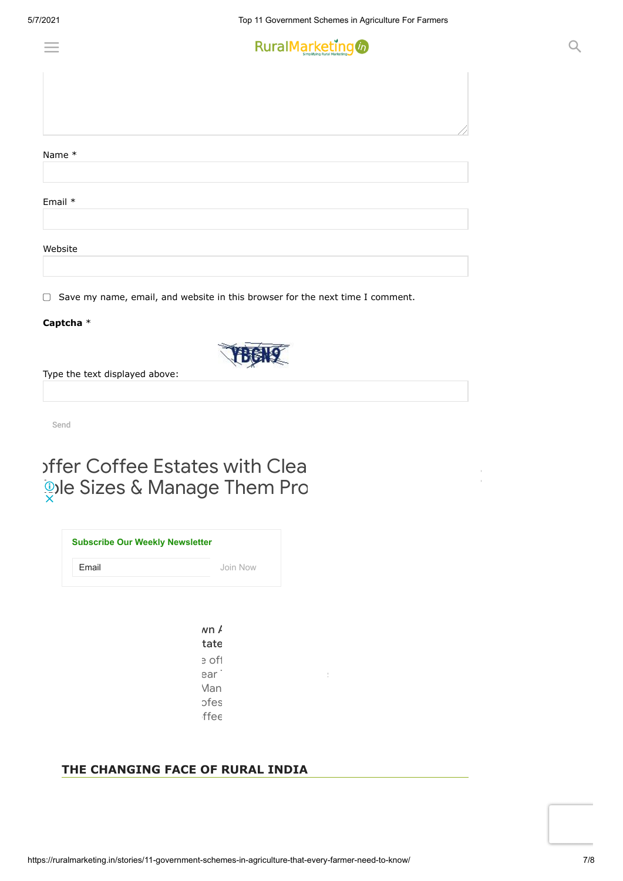

|         |  | / |
|---------|--|---|
| Name *  |  |   |
|         |  |   |
|         |  |   |
| Email * |  |   |
|         |  |   |
| Website |  |   |
|         |  |   |

 $\Box$  Save my name, email, and website in this browser for the next time I comment.

#### **Captcha** \*



Send

# offer Coffee Estates with Clear **Die Sizes & Manage Them Professional**

| <b>Subscribe Our Weekly Newsletter</b> |          |
|----------------------------------------|----------|
| Email                                  | Join Now |
|                                        |          |

 $wn/$ tate e off ear i Man ofes  $f$ ffee

#### **THE CHANGING FACE OF RURAL INDIA**